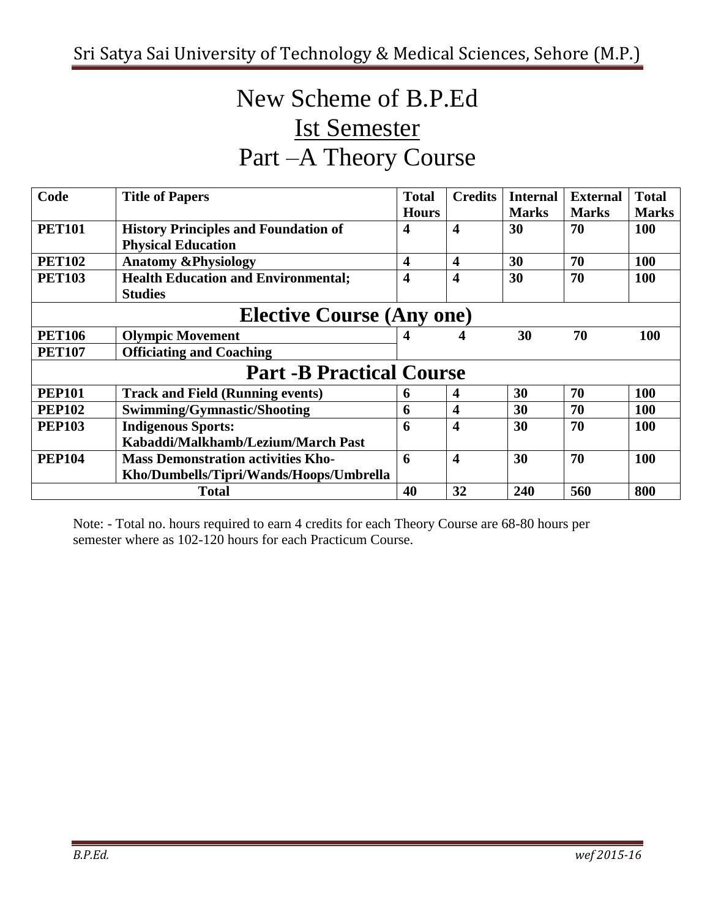# New Scheme of B.P.Ed Ist Semester Part –A Theory Course

| Code                             | <b>Title of Papers</b>                      | <b>Total</b>            | <b>Credits</b>          | <b>Internal</b> | <b>External</b> | <b>Total</b> |  |  |
|----------------------------------|---------------------------------------------|-------------------------|-------------------------|-----------------|-----------------|--------------|--|--|
|                                  |                                             | <b>Hours</b>            |                         | <b>Marks</b>    | <b>Marks</b>    | <b>Marks</b> |  |  |
| <b>PET101</b>                    | <b>History Principles and Foundation of</b> | 4                       | $\overline{\mathbf{4}}$ | 30              | 70              | <b>100</b>   |  |  |
|                                  | <b>Physical Education</b>                   |                         |                         |                 |                 |              |  |  |
| <b>PET102</b>                    | <b>Anatomy &amp;Physiology</b>              | $\overline{\mathbf{4}}$ | 4                       | 30              | 70              | 100          |  |  |
| <b>PET103</b>                    | <b>Health Education and Environmental;</b>  | 4                       | 4                       | 30              | 70              | <b>100</b>   |  |  |
|                                  | <b>Studies</b>                              |                         |                         |                 |                 |              |  |  |
| <b>Elective Course (Any one)</b> |                                             |                         |                         |                 |                 |              |  |  |
| <b>PET106</b>                    | <b>Olympic Movement</b>                     |                         | 4                       | 30              | 70              | 100          |  |  |
| <b>PET107</b>                    | <b>Officiating and Coaching</b>             |                         |                         |                 |                 |              |  |  |
|                                  | <b>Part -B Practical Course</b>             |                         |                         |                 |                 |              |  |  |
| <b>PEP101</b>                    | <b>Track and Field (Running events)</b>     | $\mathbf b$             | 4                       | 30              | 70              | 100          |  |  |
| <b>PEP102</b>                    | Swimming/Gymnastic/Shooting                 | 6                       | 4                       | 30              | 70              | 100          |  |  |
| <b>PEP103</b>                    | <b>Indigenous Sports:</b>                   | 6                       | 4                       | 30              | 70              | <b>100</b>   |  |  |
|                                  | Kabaddi/Malkhamb/Lezium/March Past          |                         |                         |                 |                 |              |  |  |
| <b>PEP104</b>                    | <b>Mass Demonstration activities Kho-</b>   | 6                       | 4                       | 30              | 70              | 100          |  |  |
|                                  | Kho/Dumbells/Tipri/Wands/Hoops/Umbrella     |                         |                         |                 |                 |              |  |  |
|                                  | <b>Total</b>                                | 40                      | 32                      | 240             | 560             | 800          |  |  |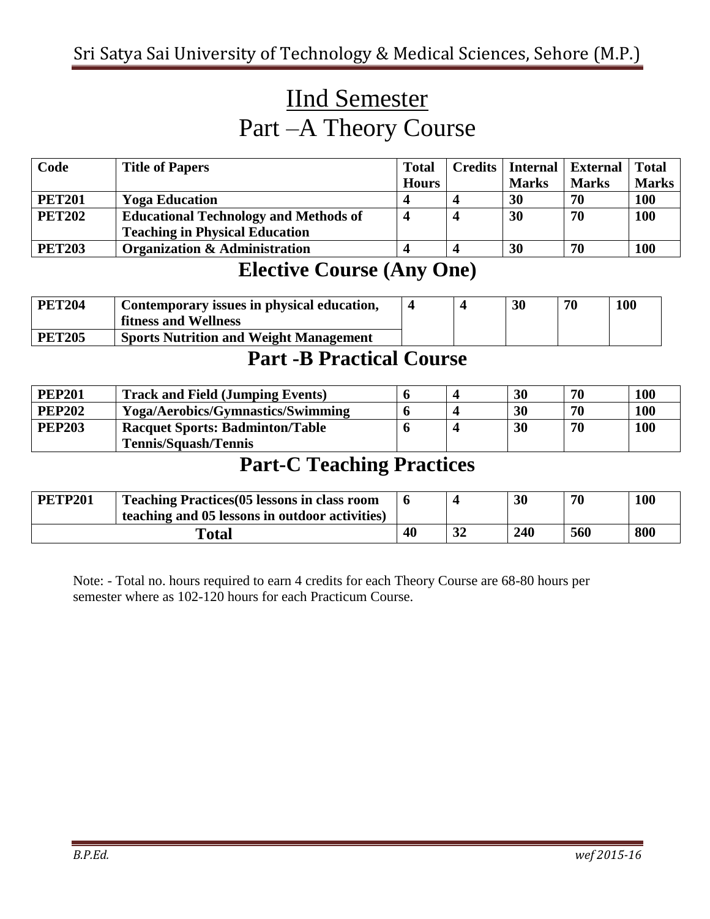## IInd Semester Part –A Theory Course

| Code          | <b>Title of Papers</b>                       | <b>Total</b> | <b>Credits</b> | Internal     | External     | <b>Total</b> |
|---------------|----------------------------------------------|--------------|----------------|--------------|--------------|--------------|
|               |                                              | <b>Hours</b> |                | <b>Marks</b> | <b>Marks</b> | Marks        |
| <b>PET201</b> | <b>Yoga Education</b>                        |              |                | 30           | 70           | <b>100</b>   |
| <b>PET202</b> | <b>Educational Technology and Methods of</b> |              |                | 30           | 70           | 100          |
|               | <b>Teaching in Physical Education</b>        |              |                |              |              |              |
| <b>PET203</b> | <b>Organization &amp; Administration</b>     |              |                | 30           | 70           | <b>100</b>   |

### **Elective Course (Any One)**

| <b>PET204</b> | Contemporary issues in physical education,    |  | 30 | 70 | 100 |
|---------------|-----------------------------------------------|--|----|----|-----|
|               | fitness and Wellness                          |  |    |    |     |
| <b>PET205</b> | <b>Sports Nutrition and Weight Management</b> |  |    |    |     |

#### **Part -B Practical Course**

| <b>PEP201</b> | <b>Track and Field (Jumping Events)</b>  |  | 30 | 70 | <b>100</b> |
|---------------|------------------------------------------|--|----|----|------------|
| <b>PEP202</b> | <b>Yoga/Aerobics/Gymnastics/Swimming</b> |  | 30 | 70 | <b>100</b> |
| <b>PEP203</b> | <b>Racquet Sports: Badminton/Table</b>   |  | 30 | 70 | <b>100</b> |
|               | <b>Tennis/Squash/Tennis</b>              |  |    |    |            |

### **Part-C Teaching Practices**

| <b>PETP201</b> | <b>Teaching Practices (05 lessons in class room</b><br>teaching and 05 lessons in outdoor activities) |    |          | 30  | 70  | 100 |
|----------------|-------------------------------------------------------------------------------------------------------|----|----------|-----|-----|-----|
| <b>Total</b>   |                                                                                                       | 40 | 21<br>JД | 240 | 560 | 800 |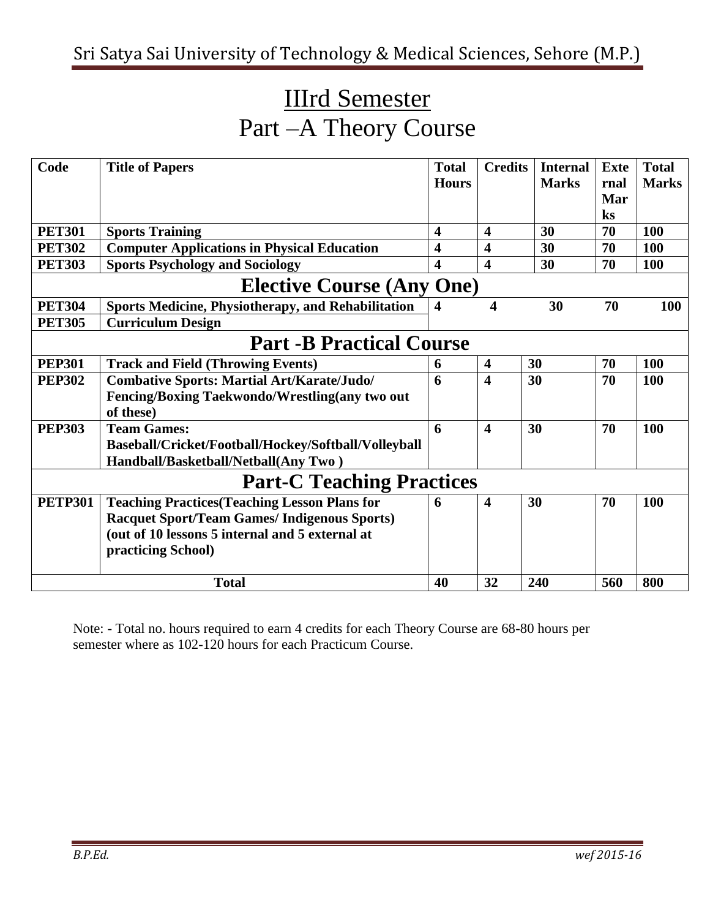# IIIrd Semester Part –A Theory Course

| Code           | <b>Title of Papers</b>                                    | <b>Total</b>            | <b>Credits</b>          | <b>Internal</b> | <b>Exte</b>    | <b>Total</b> |  |  |  |  |  |
|----------------|-----------------------------------------------------------|-------------------------|-------------------------|-----------------|----------------|--------------|--|--|--|--|--|
|                |                                                           | <b>Hours</b>            |                         | <b>Marks</b>    | rnal           | <b>Marks</b> |  |  |  |  |  |
|                |                                                           |                         |                         |                 | Mar            |              |  |  |  |  |  |
|                |                                                           |                         |                         |                 | $\mathbf{k}$ s |              |  |  |  |  |  |
| <b>PET301</b>  | <b>Sports Training</b>                                    | $\overline{\mathbf{4}}$ | 4                       | 30              | 70             | 100          |  |  |  |  |  |
| <b>PET302</b>  | <b>Computer Applications in Physical Education</b>        | $\overline{\mathbf{4}}$ | $\overline{\mathbf{4}}$ | 30              | 70             | <b>100</b>   |  |  |  |  |  |
| <b>PET303</b>  | <b>Sports Psychology and Sociology</b>                    | 4                       | $\overline{\mathbf{4}}$ | 30              | 70             | 100          |  |  |  |  |  |
|                | <b>Elective Course (Any One)</b>                          |                         |                         |                 |                |              |  |  |  |  |  |
| <b>PET304</b>  | <b>Sports Medicine, Physiotherapy, and Rehabilitation</b> | $\overline{\mathbf{4}}$ | 4                       | 30              | 70             | 100          |  |  |  |  |  |
| <b>PET305</b>  | <b>Curriculum Design</b>                                  |                         |                         |                 |                |              |  |  |  |  |  |
|                | <b>Part -B Practical Course</b>                           |                         |                         |                 |                |              |  |  |  |  |  |
| <b>PEP301</b>  | <b>Track and Field (Throwing Events)</b>                  | 6                       | $\overline{\mathbf{4}}$ | 30              | 70             | 100          |  |  |  |  |  |
| <b>PEP302</b>  | <b>Combative Sports: Martial Art/Karate/Judo/</b>         | 6                       | $\overline{\mathbf{4}}$ | 30              | 70             | <b>100</b>   |  |  |  |  |  |
|                | Fencing/Boxing Taekwondo/Wrestling(any two out            |                         |                         |                 |                |              |  |  |  |  |  |
|                | of these)                                                 |                         |                         |                 |                |              |  |  |  |  |  |
| <b>PEP303</b>  | <b>Team Games:</b>                                        | 6                       | $\overline{\mathbf{4}}$ | 30              | 70             | 100          |  |  |  |  |  |
|                | Baseball/Cricket/Football/Hockey/Softball/Volleyball      |                         |                         |                 |                |              |  |  |  |  |  |
|                | Handball/Basketball/Netball(Any Two)                      |                         |                         |                 |                |              |  |  |  |  |  |
|                | <b>Part-C Teaching Practices</b>                          |                         |                         |                 |                |              |  |  |  |  |  |
| <b>PETP301</b> | <b>Teaching Practices (Teaching Lesson Plans for</b>      | 6                       | 4                       | 30              | 70             | 100          |  |  |  |  |  |
|                | <b>Racquet Sport/Team Games/ Indigenous Sports)</b>       |                         |                         |                 |                |              |  |  |  |  |  |
|                | (out of 10 lessons 5 internal and 5 external at           |                         |                         |                 |                |              |  |  |  |  |  |
|                | practicing School)                                        |                         |                         |                 |                |              |  |  |  |  |  |
|                |                                                           |                         |                         |                 |                |              |  |  |  |  |  |
|                | <b>Total</b>                                              | 40                      | 32                      | 240             | 560            | 800          |  |  |  |  |  |